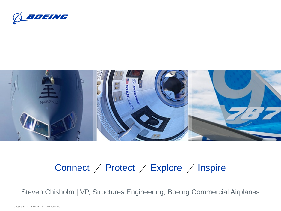



# Connect  $\diagup$  Protect  $\diagup$  Explore  $\diagup$  Inspire

Steven Chisholm | VP, Structures Engineering, Boeing Commercial Airplanes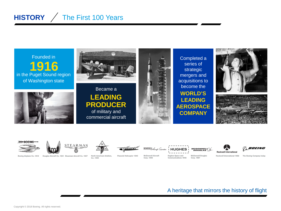## **HISTORY** / The First 100 Years





Boeing Airplane Co. 1916 Douglas Aircraft Co. 1921 Stearman Aircraft Co. 1927



North American Aviation Inc. 1935

Piasecki Helicopter 1940

MSDONNELL *Lincraft* Corpor









Rockwell International 1968 The Boeing Company today

#### A heritage that mirrors the history of flight

**McDonnell Aircraft** Corp. 1945

**Hughes Space and** 

Communications 1948 Corp. 1967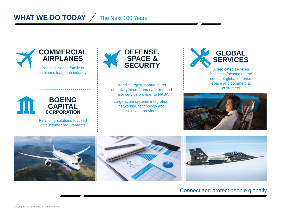## **WHAT WE DO TODAY** The Next 100 Years





Financing solutions focused on customer requirements



World's largest manufacturer of military aircraft and satellites and major service provider to NASA

Large-scale systems integration, networking technology and solutions provider



business focused on the needs of global defense, space and commercial customers





#### Connect and protect people globally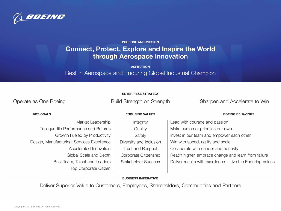

**PURPOSE AND MISSION** 

### **Connect, Protect, Explore and Inspire the World** through Aerospace Innovation

**ASPIRATION** 

Best in Aerospace and Enduring Global Industrial Champion

| <b>ENTERPRISE STRATEGY</b>                 |                            |                                                            |
|--------------------------------------------|----------------------------|------------------------------------------------------------|
| Operate as One Boeing                      | Build Strength on Strength | Sharpen and Accelerate to Win                              |
| <b>2025 GOALS</b>                          | <b>ENDURING VALUES</b>     | <b>BOEING BEHAVIORS</b>                                    |
| Market Leadership                          | Integrity                  | Lead with courage and passion                              |
| Top-quartile Performance and Returns       | Quality                    | Make customer priorities our own                           |
| Growth Fueled by Productivity              | Safety                     | Invest in our team and empower each other                  |
| Design, Manufacturing, Services Excellence | Diversity and Inclusion    | Win with speed, agility and scale                          |
| Accelerated Innovation                     | <b>Trust and Respect</b>   | Collaborate with candor and honesty                        |
| Global Scale and Depth                     | Corporate Citizenship      | Reach higher, embrace change and learn from failure        |
| Best Team, Talent and Leaders              | <b>Stakeholder Success</b> | Deliver results with excellence - Live the Enduring Values |
| <b>Top Corporate Citizen</b>               |                            |                                                            |

**BUSINESS IMPERATIVE** 

Deliver Superior Value to Customers, Employees, Shareholders, Communities and Partners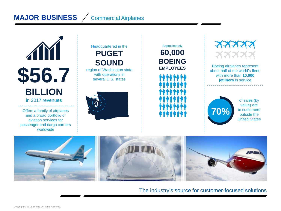## **MAJOR BUSINESS** / Commercial Airplanes



Offers a family of airplanes and a broad portfolio of aviation services for passenger and cargo carriers worldwide

## Headquartered in the **PUGET SOUND**

region of Washington state<br>with operations in



### **60,000 BOEING EMPLOYEES** Approximately



Boeing airplanes represent about half of the world's fleet, with more than **10,000 jetliners** in service



of sales (by value) are to customers outside the United States



The industry's source for customer-focused solutions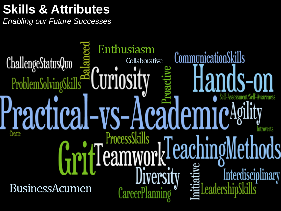# **Skills & Attributes**

*Enabling our Future Successes*